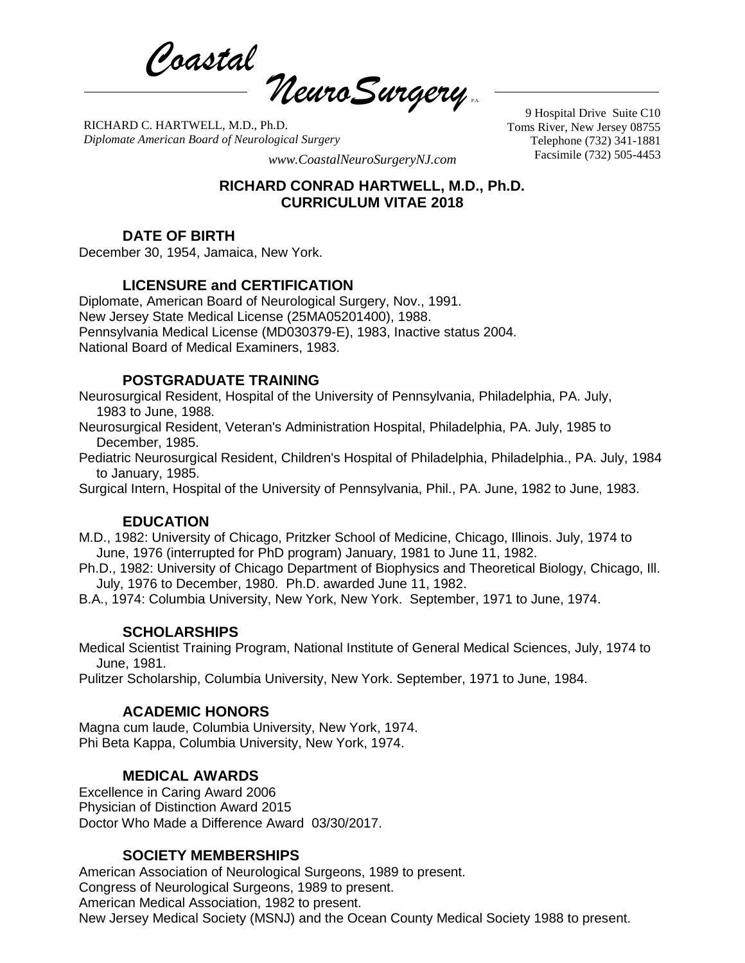*Coastal*  $\eta$ euro Surgery

RICHARD C. HARTWELL, M.D., Ph.D. *Diplomate American Board of Neurological Surgery*

9 Hospital Drive Suite C10 Toms River, New Jersey 08755 Telephone (732) 341-1881

Facsimile (732) 505-4453 *www.CoastalNeuroSurgeryNJ.com*

### **RICHARD CONRAD HARTWELL, M.D., Ph.D. CURRICULUM VITAE 2018**

## **DATE OF BIRTH**

December 30, 1954, Jamaica, New York.

# **LICENSURE and CERTIFICATION**

Diplomate, American Board of Neurological Surgery, Nov., 1991. New Jersey State Medical License (25MA05201400), 1988. Pennsylvania Medical License (MD030379-E), 1983, Inactive status 2004. National Board of Medical Examiners, 1983.

## **POSTGRADUATE TRAINING**

Neurosurgical Resident, Hospital of the University of Pennsylvania, Philadelphia, PA. July, 1983 to June, 1988.

Neurosurgical Resident, Veteran's Administration Hospital, Philadelphia, PA. July, 1985 to December, 1985.

Pediatric Neurosurgical Resident, Children's Hospital of Philadelphia, Philadelphia., PA. July, 1984 to January, 1985.

Surgical Intern, Hospital of the University of Pennsylvania, Phil., PA. June, 1982 to June, 1983.

# **EDUCATION**

M.D., 1982: University of Chicago, Pritzker School of Medicine, Chicago, Illinois. July, 1974 to June, 1976 (interrupted for PhD program) January, 1981 to June 11, 1982.

Ph.D., 1982: University of Chicago Department of Biophysics and Theoretical Biology, Chicago, Ill. July, 1976 to December, 1980. Ph.D. awarded June 11, 1982.

B.A., 1974: Columbia University, New York, New York. September, 1971 to June, 1974.

# **SCHOLARSHIPS**

Medical Scientist Training Program, National Institute of General Medical Sciences, July, 1974 to June, 1981.

Pulitzer Scholarship, Columbia University, New York. September, 1971 to June, 1984.

# **ACADEMIC HONORS**

Magna cum laude, Columbia University, New York, 1974. Phi Beta Kappa, Columbia University, New York, 1974.

# **MEDICAL AWARDS**

Excellence in Caring Award 2006 Physician of Distinction Award 2015 Doctor Who Made a Difference Award 03/30/2017.

### **SOCIETY MEMBERSHIPS**

American Association of Neurological Surgeons, 1989 to present. Congress of Neurological Surgeons, 1989 to present. American Medical Association, 1982 to present. New Jersey Medical Society (MSNJ) and the Ocean County Medical Society 1988 to present.